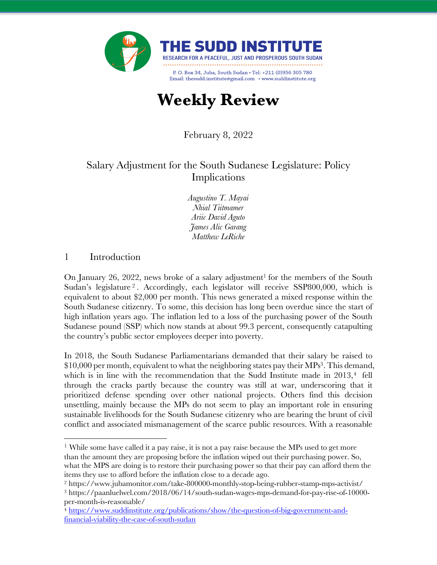

# **Weekly Review**

February 8, 2022

# Salary Adjustment for the South Sudanese Legislature: Policy Implications

*Augustino T. Mayai Nhial Tiitmamer Ariic David Aguto James Alic Garang Matthew LeRiche* 

### 1 Introduction

On January 26, 2022, news broke of a salary adjustment<sup>1</sup> for the members of the South Sudan's legislature<sup>2</sup>. Accordingly, each legislator will receive SSP800,000, which is equivalent to about \$2,000 per month. This news generated a mixed response within the South Sudanese citizenry. To some, this decision has long been overdue since the start of high inflation years ago. The inflation led to a loss of the purchasing power of the South Sudanese pound (SSP) which now stands at about 99.3 percent, consequently catapulting the country's public sector employees deeper into poverty.

In 2018, the South Sudanese Parliamentarians demanded that their salary be raised to  $$10,000$  per month, equivalent to what the neighboring states pay their MPs<sup>3</sup>. This demand, which is in line with the recommendation that the Sudd Institute made in  $2013<sup>4</sup>$  fell through the cracks partly because the country was still at war, underscoring that it prioritized defense spending over other national projects. Others find this decision unsettling, mainly because the MPs do not seem to play an important role in ensuring sustainable livelihoods for the South Sudanese citizenry who are bearing the brunt of civil conflict and associated mismanagement of the scarce public resources. With a reasonable

<sup>1</sup> While some have called it a pay raise, it is not a pay raise because the MPs used to get more than the amount they are proposing before the inflation wiped out their purchasing power. So, what the MPS are doing is to restore their purchasing power so that their pay can afford them the items they use to afford before the inflation close to a decade ago.

<sup>2</sup> https://www.jubamonitor.com/take-800000-monthly-stop-being-rubber-stamp-mps-activist/

<sup>3</sup> https://paanluelwel.com/2018/06/14/south-sudan-wages-mps-demand-for-pay-rise-of-10000 per-month-is-reasonable/

<sup>4</sup> https://www.suddinstitute.org/publications/show/the-question-of-big-government-andfinancial-viability-the-case-of-south-sudan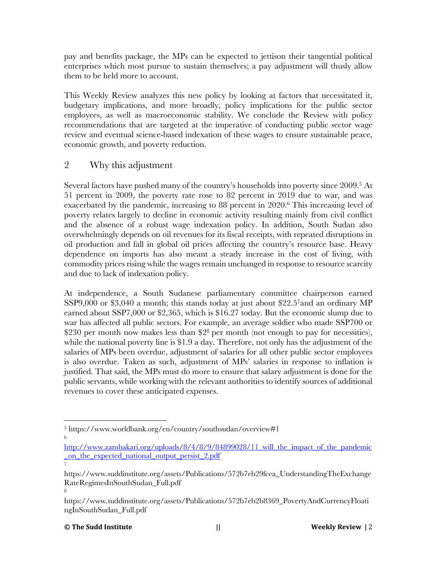pay and benefits package, the MPs can be expected to jettison their tangential political enterprises which most pursue to sustain themselves; a pay adjustment will thusly allow them to be held more to account.

This Weekly Review analyzes this new policy by looking at factors that necessitated it, budgetary implications, and more broadly, policy implications for the public sector employees, as well as macroeconomic stability. We conclude the Review with policy recommendations that are targeted at the imperative of conducting public sector wage review and eventual science-based indexation of these wages to ensure sustainable peace, economic growth, and poverty reduction.

## 2 Why this adjustment

Several factors have pushed many of the country's households into poverty since 2009.<sup>5</sup> At 51 percent in 2009, the poverty rate rose to 82 percent in 2019 due to war, and was exacerbated by the pandemic, increasing to 88 percent in 2020.6 This increasing level of poverty relates largely to decline in economic activity resulting mainly from civil conflict and the absence of a robust wage indexation policy. In addition, South Sudan also overwhelmingly depends on oil revenues for its fiscal receipts, with repeated disruptions in oil production and fall in global oil prices affecting the country's resource base. Heavy dependence on imports has also meant a steady increase in the cost of living, with commodity prices rising while the wages remain unchanged in response to resource scarcity and due to lack of indexation policy.

At independence, a South Sudanese parliamentary committee chairperson earned SSP9,000 or \$3,040 a month; this stands today at just about \$22.57and an ordinary MP earned about SSP7,000 or \$2,365, which is \$16.27 today. But the economic slump due to war has affected all public sectors. For example, an average soldier who made SSP700 or \$230 per month now makes less than  $2^8$  per month (not enough to pay for necessities), while the national poverty line is \$1.9 a day. Therefore, not only has the adjustment of the salaries of MPs been overdue, adjustment of salaries for all other public sector employees is also overdue. Taken as such, adjustment of MPs' salaries in response to inflation is justified. That said, the MPs must do more to ensure that salary adjustment is done for the public servants, while working with the relevant authorities to identify sources of additional revenues to cover these anticipated expenses.

#### **© The Sudd Institute || Weekly Review |** 2

7

8

<sup>5</sup> https://www.worldbank.org/en/country/southsudan/overview#1 6

http://www.zambakari.org/uploads/8/4/8/9/84899028/11 will the impact of the pandemic \_on\_the\_expected\_national\_output\_persist\_2.pdf

https://www.suddinstitute.org/assets/Publications/572b7eb29fcea\_UnderstandingTheExchange RateRegimesInSouthSudan\_Full.pdf

https://www.suddinstitute.org/assets/Publications/572b7eb2b8369\_PovertyAndCurrencyFloati ngInSouthSudan\_Full.pdf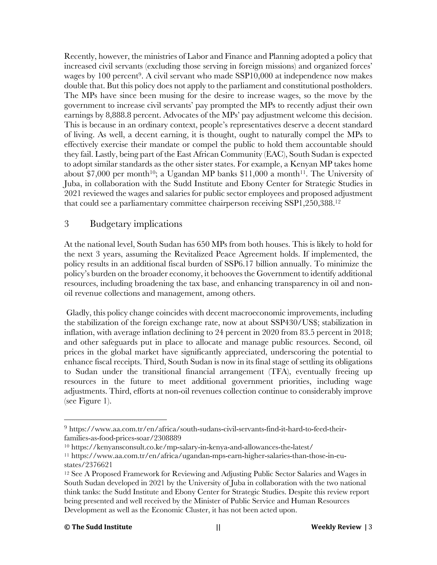Recently, however, the ministries of Labor and Finance and Planning adopted a policy that increased civil servants (excluding those serving in foreign missions) and organized forces' wages by 100 percent<sup>9</sup>. A civil servant who made  $SSP10,000$  at independence now makes double that. But this policy does not apply to the parliament and constitutional postholders. The MPs have since been musing for the desire to increase wages, so the move by the government to increase civil servants' pay prompted the MPs to recently adjust their own earnings by 8,888.8 percent. Advocates of the MPs' pay adjustment welcome this decision. This is because in an ordinary context, people's representatives deserve a decent standard of living. As well, a decent earning, it is thought, ought to naturally compel the MPs to effectively exercise their mandate or compel the public to hold them accountable should they fail. Lastly, being part of the East African Community (EAC), South Sudan is expected to adopt similar standards as the other sister states. For example, a Kenyan MP takes home about \$7,000 per month<sup>10</sup>; a Ugandan MP banks  $$11,000$  a month<sup>11</sup>. The University of Juba, in collaboration with the Sudd Institute and Ebony Center for Strategic Studies in 2021 reviewed the wages and salaries for public sector employees and proposed adjustment that could see a parliamentary committee chairperson receiving SSP1,250,388. 12

#### 3 Budgetary implications

At the national level, South Sudan has 650 MPs from both houses. This is likely to hold for the next 3 years, assuming the Revitalized Peace Agreement holds. If implemented, the policy results in an additional fiscal burden of SSP6.17 billion annually. To minimize the policy's burden on the broader economy, it behooves the Government to identify additional resources, including broadening the tax base, and enhancing transparency in oil and nonoil revenue collections and management, among others.

Gladly, this policy change coincides with decent macroeconomic improvements, including the stabilization of the foreign exchange rate, now at about SSP430/US\$; stabilization in inflation, with average inflation declining to 24 percent in 2020 from 83.5 percent in 2018; and other safeguards put in place to allocate and manage public resources. Second, oil prices in the global market have significantly appreciated, underscoring the potential to enhance fiscal receipts. Third, South Sudan is now in its final stage of settling its obligations to Sudan under the transitional financial arrangement (TFA), eventually freeing up resources in the future to meet additional government priorities, including wage adjustments. Third, efforts at non-oil revenues collection continue to considerably improve (see Figure 1).

<sup>9</sup> https://www.aa.com.tr/en/africa/south-sudans-civil-servants-find-it-hard-to-feed-theirfamilies-as-food-prices-soar/2308889

<sup>10</sup> https://kenyansconsult.co.ke/mp-salary-in-kenya-and-allowances-the-latest/

<sup>11</sup> https://www.aa.com.tr/en/africa/ugandan-mps-earn-higher-salaries-than-those-in-eustates/2376621

<sup>12</sup> See A Proposed Framework for Reviewing and Adjusting Public Sector Salaries and Wages in South Sudan developed in 2021 by the University of Juba in collaboration with the two national think tanks: the Sudd Institute and Ebony Center for Strategic Studies. Despite this review report being presented and well received by the Minister of Public Service and Human Resources Development as well as the Economic Cluster, it has not been acted upon.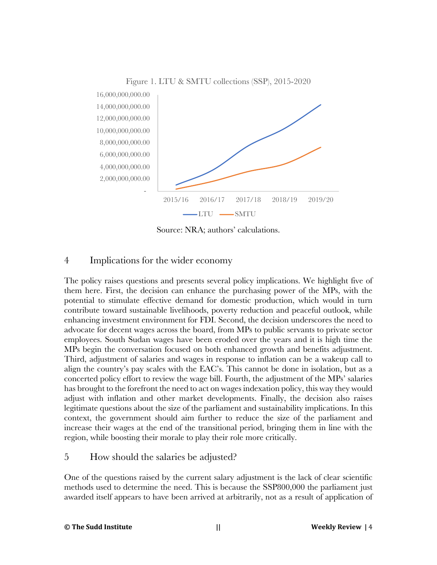

Figure 1. LTU & SMTU collections (SSP), 2015-2020

Source: NRA; authors' calculations.

#### 4 Implications for the wider economy

The policy raises questions and presents several policy implications. We highlight five of them here. First, the decision can enhance the purchasing power of the MPs, with the potential to stimulate effective demand for domestic production, which would in turn contribute toward sustainable livelihoods, poverty reduction and peaceful outlook, while enhancing investment environment for FDI. Second, the decision underscores the need to advocate for decent wages across the board, from MPs to public servants to private sector employees. South Sudan wages have been eroded over the years and it is high time the MPs begin the conversation focused on both enhanced growth and benefits adjustment. Third, adjustment of salaries and wages in response to inflation can be a wakeup call to align the country's pay scales with the EAC's. This cannot be done in isolation, but as a concerted policy effort to review the wage bill. Fourth, the adjustment of the MPs' salaries has brought to the forefront the need to act on wages indexation policy, this way they would adjust with inflation and other market developments. Finally, the decision also raises legitimate questions about the size of the parliament and sustainability implications. In this context, the government should aim further to reduce the size of the parliament and increase their wages at the end of the transitional period, bringing them in line with the region, while boosting their morale to play their role more critically.

#### 5 How should the salaries be adjusted?

One of the questions raised by the current salary adjustment is the lack of clear scientific methods used to determine the need. This is because the SSP800,000 the parliament just awarded itself appears to have been arrived at arbitrarily, not as a result of application of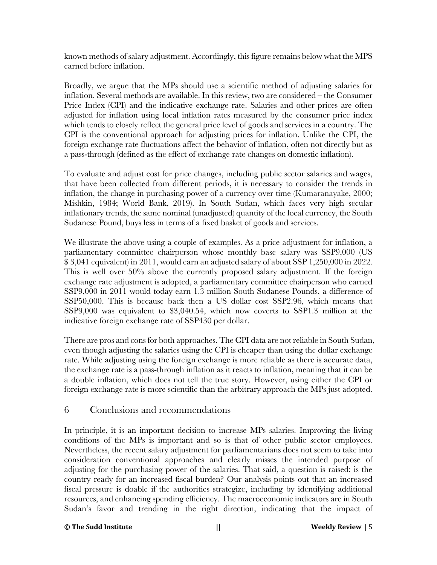known methods of salary adjustment. Accordingly, this figure remains below what the MPS earned before inflation.

Broadly, we argue that the MPs should use a scientific method of adjusting salaries for inflation. Several methods are available. In this review, two are considered – the Consumer Price Index (CPI) and the indicative exchange rate. Salaries and other prices are often adjusted for inflation using local inflation rates measured by the consumer price index which tends to closely reflect the general price level of goods and services in a country. The CPI is the conventional approach for adjusting prices for inflation. Unlike the CPI, the foreign exchange rate fluctuations affect the behavior of inflation, often not directly but as a pass-through (defined as the effect of exchange rate changes on domestic inflation).

To evaluate and adjust cost for price changes, including public sector salaries and wages, that have been collected from different periods, it is necessary to consider the trends in inflation, the change in purchasing power of a currency over time (Kumaranayake, 2000; Mishkin, 1984; World Bank, 2019). In South Sudan, which faces very high secular inflationary trends, the same nominal (unadjusted) quantity of the local currency, the South Sudanese Pound, buys less in terms of a fixed basket of goods and services.

We illustrate the above using a couple of examples. As a price adjustment for inflation, a parliamentary committee chairperson whose monthly base salary was SSP9,000 (US \$ 3,041 equivalent) in 2011, would earn an adjusted salary of about SSP 1,250,000 in 2022. This is well over 50% above the currently proposed salary adjustment. If the foreign exchange rate adjustment is adopted, a parliamentary committee chairperson who earned SSP9,000 in 2011 would today earn 1.3 million South Sudanese Pounds, a difference of SSP50,000. This is because back then a US dollar cost SSP2.96, which means that SSP9,000 was equivalent to \$3,040.54, which now coverts to SSP1.3 million at the indicative foreign exchange rate of SSP430 per dollar.

There are pros and cons for both approaches. The CPI data are not reliable in South Sudan, even though adjusting the salaries using the CPI is cheaper than using the dollar exchange rate. While adjusting using the foreign exchange is more reliable as there is accurate data, the exchange rate is a pass-through inflation as it reacts to inflation, meaning that it can be a double inflation, which does not tell the true story. However, using either the CPI or foreign exchange rate is more scientific than the arbitrary approach the MPs just adopted.

#### 6 Conclusions and recommendations

In principle, it is an important decision to increase MPs salaries. Improving the living conditions of the MPs is important and so is that of other public sector employees. Nevertheless, the recent salary adjustment for parliamentarians does not seem to take into consideration conventional approaches and clearly misses the intended purpose of adjusting for the purchasing power of the salaries. That said, a question is raised: is the country ready for an increased fiscal burden? Our analysis points out that an increased fiscal pressure is doable if the authorities strategize, including by identifying additional resources, and enhancing spending efficiency. The macroeconomic indicators are in South Sudan's favor and trending in the right direction, indicating that the impact of

#### **© The Sudd Institute || Weekly Review |** 5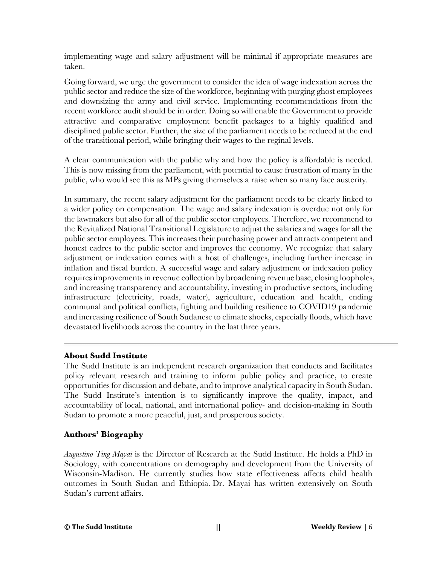implementing wage and salary adjustment will be minimal if appropriate measures are taken.

Going forward, we urge the government to consider the idea of wage indexation across the public sector and reduce the size of the workforce, beginning with purging ghost employees and downsizing the army and civil service. Implementing recommendations from the recent workforce audit should be in order. Doing so will enable the Government to provide attractive and comparative employment benefit packages to a highly qualified and disciplined public sector. Further, the size of the parliament needs to be reduced at the end of the transitional period, while bringing their wages to the reginal levels.

A clear communication with the public why and how the policy is affordable is needed. This is now missing from the parliament, with potential to cause frustration of many in the public, who would see this as MPs giving themselves a raise when so many face austerity.

In summary, the recent salary adjustment for the parliament needs to be clearly linked to a wider policy on compensation. The wage and salary indexation is overdue not only for the lawmakers but also for all of the public sector employees. Therefore, we recommend to the Revitalized National Transitional Legislature to adjust the salaries and wages for all the public sector employees. This increases their purchasing power and attracts competent and honest cadres to the public sector and improves the economy. We recognize that salary adjustment or indexation comes with a host of challenges, including further increase in inflation and fiscal burden. A successful wage and salary adjustment or indexation policy requires improvements in revenue collection by broadening revenue base, closing loopholes, and increasing transparency and accountability, investing in productive sectors, including infrastructure (electricity, roads, water), agriculture, education and health, ending communal and political conflicts, fighting and building resilience to COVID19 pandemic and increasing resilience of South Sudanese to climate shocks, especially floods, which have devastated livelihoods across the country in the last three years.

#### **About Sudd Institute**

The Sudd Institute is an independent research organization that conducts and facilitates policy relevant research and training to inform public policy and practice, to create opportunities for discussion and debate, and to improve analytical capacity in South Sudan. The Sudd Institute's intention is to significantly improve the quality, impact, and accountability of local, national, and international policy- and decision-making in South Sudan to promote a more peaceful, just, and prosperous society.

#### **Authors' Biography**

*Augustino Ting Mayai* is the Director of Research at the Sudd Institute. He holds a PhD in Sociology, with concentrations on demography and development from the University of Wisconsin-Madison. He currently studies how state effectiveness affects child health outcomes in South Sudan and Ethiopia. Dr. Mayai has written extensively on South Sudan's current affairs.